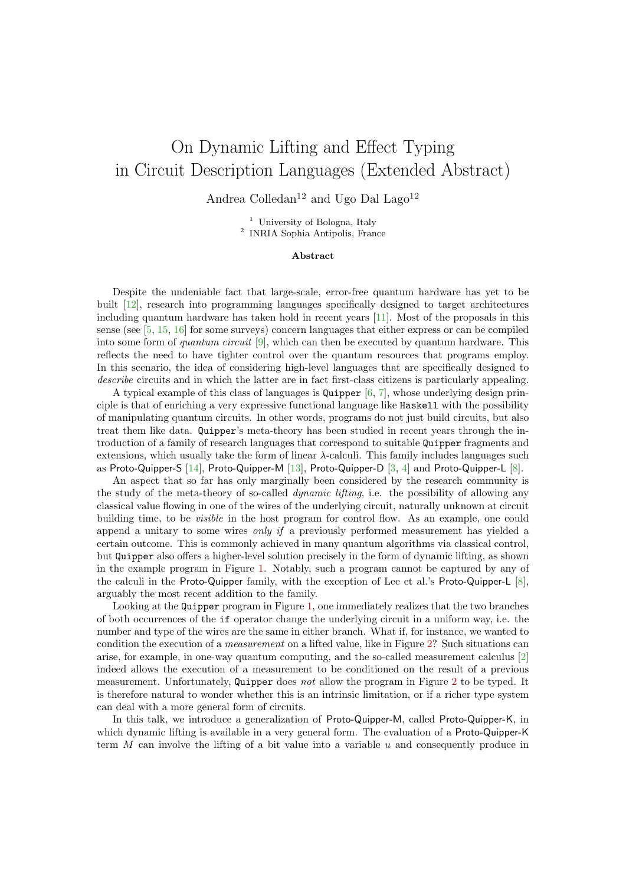## On Dynamic Lifting and Effect Typing in Circuit Description Languages (Extended Abstract)

Andrea Colledan<sup>12</sup> and Ugo Dal Lago<sup>12</sup>

<sup>1</sup> University of Bologna, Italy 2 INRIA Sophia Antipolis, France

## Abstract

Despite the undeniable fact that large-scale, error-free quantum hardware has yet to be built [\[12\]](#page-2-0), research into programming languages specifically designed to target architectures including quantum hardware has taken hold in recent years [\[11\]](#page-2-1). Most of the proposals in this sense (see [\[5,](#page-2-2) [15,](#page-2-3) [16\]](#page-2-4) for some surveys) concern languages that either express or can be compiled into some form of quantum circuit  $[9]$ , which can then be executed by quantum hardware. This reflects the need to have tighter control over the quantum resources that programs employ. In this scenario, the idea of considering high-level languages that are specifically designed to describe circuits and in which the latter are in fact first-class citizens is particularly appealing.

A typical example of this class of languages is Quipper [\[6,](#page-2-6) [7\]](#page-2-7), whose underlying design principle is that of enriching a very expressive functional language like Haskell with the possibility of manipulating quantum circuits. In other words, programs do not just build circuits, but also treat them like data. Quipper's meta-theory has been studied in recent years through the introduction of a family of research languages that correspond to suitable Quipper fragments and extensions, which usually take the form of linear  $\lambda$ -calculi. This family includes languages such as Proto-Quipper-S [\[14\]](#page-2-8), Proto-Quipper-M [\[13\]](#page-2-9), Proto-Quipper-D [\[3,](#page-2-10) [4\]](#page-2-11) and Proto-Quipper-L [\[8\]](#page-2-12).

An aspect that so far has only marginally been considered by the research community is the study of the meta-theory of so-called dynamic lifting, i.e. the possibility of allowing any classical value flowing in one of the wires of the underlying circuit, naturally unknown at circuit building time, to be visible in the host program for control flow. As an example, one could append a unitary to some wires *only if* a previously performed measurement has yielded a certain outcome. This is commonly achieved in many quantum algorithms via classical control, but Quipper also offers a higher-level solution precisely in the form of dynamic lifting, as shown in the example program in Figure [1.](#page-1-0) Notably, such a program cannot be captured by any of the calculi in the Proto-Quipper family, with the exception of Lee et al.'s Proto-Quipper-L [\[8\]](#page-2-12), arguably the most recent addition to the family.

Looking at the Quipper program in Figure [1,](#page-1-0) one immediately realizes that the two branches of both occurrences of the if operator change the underlying circuit in a uniform way, i.e. the number and type of the wires are the same in either branch. What if, for instance, we wanted to condition the execution of a measurement on a lifted value, like in Figure [2?](#page-1-1) Such situations can arise, for example, in one-way quantum computing, and the so-called measurement calculus [\[2\]](#page-2-13) indeed allows the execution of a measurement to be conditioned on the result of a previous measurement. Unfortunately, Quipper does not allow the program in Figure [2](#page-1-1) to be typed. It is therefore natural to wonder whether this is an intrinsic limitation, or if a richer type system can deal with a more general form of circuits.

In this talk, we introduce a generalization of Proto-Quipper-M, called Proto-Quipper-K, in which dynamic lifting is available in a very general form. The evaluation of a Proto-Quipper-K term  $M$  can involve the lifting of a bit value into a variable  $u$  and consequently produce in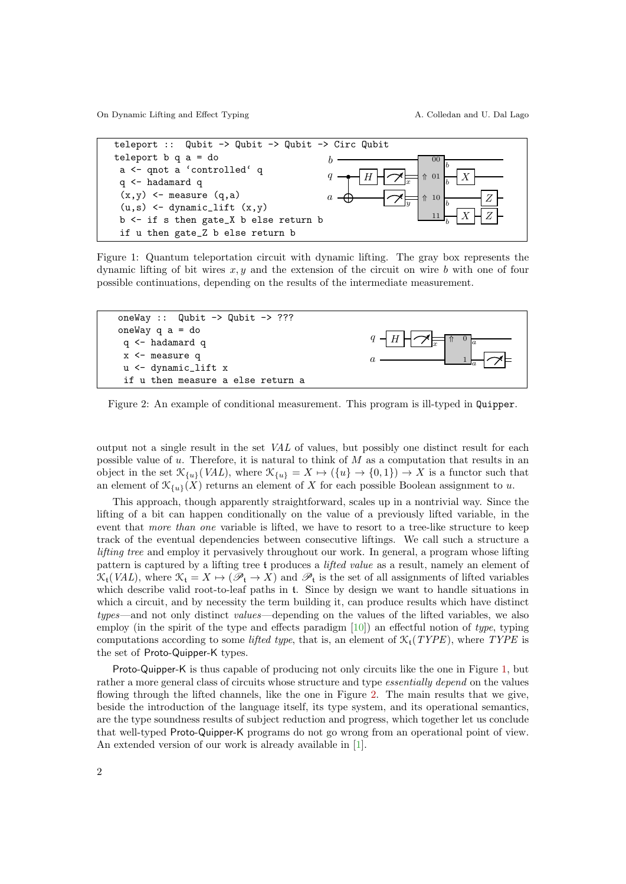On Dynamic Lifting and Effect Typing (A. Colledan and U. Dal Lago

<span id="page-1-0"></span>

Figure 1: Quantum teleportation circuit with dynamic lifting. The gray box represents the dynamic lifting of bit wires  $x, y$  and the extension of the circuit on wire b with one of four possible continuations, depending on the results of the intermediate measurement.

<span id="page-1-1"></span>

Figure 2: An example of conditional measurement. This program is ill-typed in Quipper.

output not a single result in the set VAL of values, but possibly one distinct result for each possible value of  $u$ . Therefore, it is natural to think of  $M$  as a computation that results in an object in the set  $\mathcal{K}_{\{u\}}(VAL)$ , where  $\mathcal{K}_{\{u\}} = X \mapsto (\{u\} \to \{0,1\}) \to X$  is a functor such that an element of  $\mathcal{K}_{\{u\}}(X)$  returns an element of X for each possible Boolean assignment to u.

This approach, though apparently straightforward, scales up in a nontrivial way. Since the lifting of a bit can happen conditionally on the value of a previously lifted variable, in the event that more than one variable is lifted, we have to resort to a tree-like structure to keep track of the eventual dependencies between consecutive liftings. We call such a structure a lifting tree and employ it pervasively throughout our work. In general, a program whose lifting pattern is captured by a lifting tree t produces a lifted value as a result, namely an element of  $\mathfrak{K}_t(VAL)$ , where  $\mathfrak{K}_t = X \mapsto (\mathscr{P}_t \to X)$  and  $\mathscr{P}_t$  is the set of all assignments of lifted variables which describe valid root-to-leaf paths in t. Since by design we want to handle situations in which a circuit, and by necessity the term building it, can produce results which have distinct types—and not only distinct values—depending on the values of the lifted variables, we also employ (in the spirit of the type and effects paradigm  $[10]$ ) an effectful notion of type, typing computations according to some *lifted type*, that is, an element of  $\mathcal{K}_{t}(TYPE)$ , where TYPE is the set of Proto-Quipper-K types.

Proto-Quipper-K is thus capable of producing not only circuits like the one in Figure [1,](#page-1-0) but rather a more general class of circuits whose structure and type *essentially depend* on the values flowing through the lifted channels, like the one in Figure [2.](#page-1-1) The main results that we give, beside the introduction of the language itself, its type system, and its operational semantics, are the type soundness results of subject reduction and progress, which together let us conclude that well-typed Proto-Quipper-K programs do not go wrong from an operational point of view. An extended version of our work is already available in [\[1\]](#page-2-15).